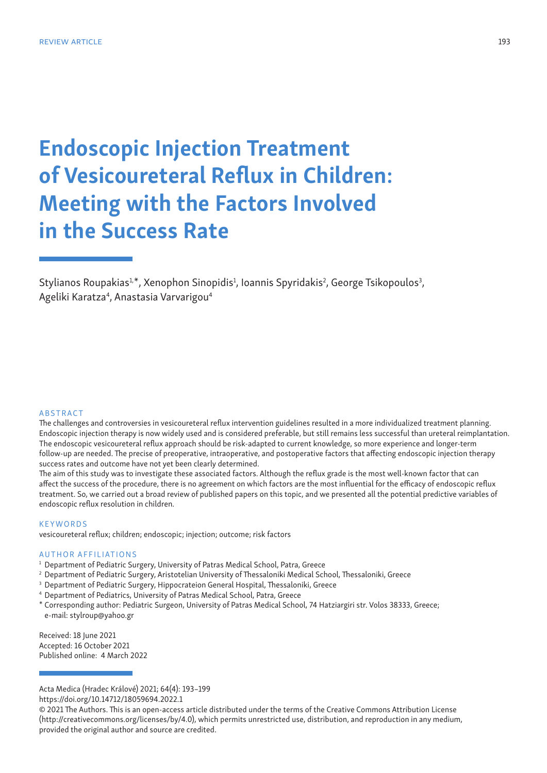# Endoscopic Injection Treatment of Vesicoureteral Reflux in Children: Meeting with the Factors Involved in the Success Rate

Stylianos Roupakias<sup>1,\*</sup>, Xenophon Sinopidis<sup>1</sup>, Ioannis Spyridakis<sup>2</sup>, George Tsikopoulos<sup>3</sup>, Ageliki Karatza<sup>4</sup>, Anastasia Varvarigou<sup>4</sup>

#### **ABSTRACT**

The challenges and controversies in vesicoureteral reflux intervention guidelines resulted in a more individualized treatment planning. Endoscopic injection therapy is now widely used and is considered preferable, but still remains less successful than ureteral reimplantation. Τhe endoscopic vesicoureteral reflux approach should be risk-adapted to current knowledge, so more experience and longer-term follow-up are needed. The precise of preoperative, intraoperative, and postoperative factors that affecting endoscopic injection therapy success rates and outcome have not yet been clearly determined.

The aim of this study was to investigate these associated factors. Although the reflux grade is the most well-known factor that can affect the success of the procedure, there is no agreement on which factors are the most influential for the efficacy of endoscopic reflux treatment. So, we carried out a broad review of published papers on this topic, and we presented all the potential predictive variables of endoscopic reflux resolution in children.

#### **KEYWORDS**

vesicoureteral reflux; children; endoscopic; injection; outcome; risk factors

## AUTHOR AFFILIATIONS

- <sup>1</sup> Department of Pediatric Surgery, University of Patras Medical School, Patra, Greece
- <sup>2</sup> Department of Pediatric Surgery, Aristotelian University of Thessaloniki Medical School, Thessaloniki, Greece
- <sup>3</sup> Department of Pediatric Surgery, Hippocrateion General Hospital, Thessaloniki, Greece
- <sup>4</sup> Department of Pediatrics, University of Patras Medical School, Patra, Greece
- \* Corresponding author: Pediatric Surgeοn, University of Patras Medical School, 74 Hatziargiri str. Volos 38333, Greece; e-mail: stylroup@yahoo.gr

Received: 18 June 2021 Accepted: 16 October 2021 Published online: 4 March 2022

Acta Medica (Hradec Králové) 2021; 64(4): 193–199

https://doi.org/10.14712/18059694.2022.1

© 2021 The Authors. This is an open-access article distributed under the terms of the Creative Commons Attribution License (http://creativecommons.org/licenses/by/4.0), which permits unrestricted use, distribution, and reproduction in any medium, provided the original author and source are credited.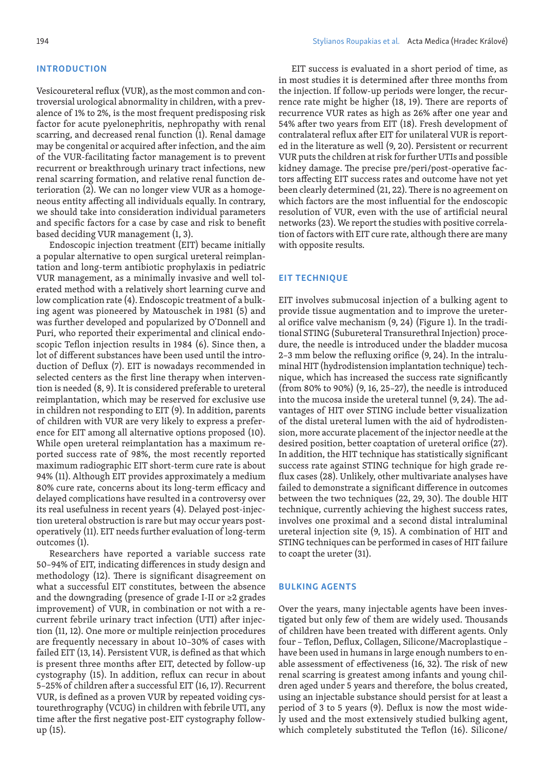## INTRODUCTION

Vesicoureteral reflux (VUR), as the most common and controversial urological abnormality in children, with a prevalence of 1% to 2%, is the most frequent predisposing risk factor for acute pyelonephritis, nephropathy with renal scarring, and decreased renal function (1). Renal damage may be congenital or acquired after infection, and the aim of the VUR-facilitating factor management is to prevent recurrent or breakthrough urinary tract infections, new renal scarring formation, and relative renal function deterioration (2). We can no longer view VUR as a homogeneous entity affecting all individuals equally. In contrary, we should take into consideration individual parameters and specific factors for a case by case and risk to benefit based deciding VUR management (1, 3).

Endoscopic injection treatment (EIT) became initially a popular alternative to open surgical ureteral reimplantation and long-term antibiotic prophylaxis in pediatric VUR management, as a minimally invasive and well tolerated method with a relatively short learning curve and low complication rate (4). Endoscopic treatment of a bulking agent was pioneered by Matouschek in 1981 (5) and was further developed and popularized by O'Donnell and Puri, who reported their experimental and clinical endoscopic Teflon injection results in 1984 (6). Since then, a lot of different substances have been used until the introduction of Deflux (7). EIT is nowadays recommended in selected centers as the first line therapy when intervention is needed (8, 9). It is considered preferable to ureteral reimplantation, which may be reserved for exclusive use in children not responding to EIT (9). In addition, parents of children with VUR are very likely to express a preference for EIT among all alternative options proposed (10). While open ureteral reimplantation has a maximum reported success rate of 98%, the most recently reported maximum radiographic EIT short-term cure rate is about 94% (11). Although EIT provides approximately a medium 80% cure rate, concerns about its long-term efficacy and delayed complications have resulted in a controversy over its real usefulness in recent years (4). Delayed post-injection ureteral obstruction is rare but may occur years postoperatively (11). EIT needs further evaluation of long-term outcomes (1).

Researchers have reported a variable success rate 50–94% of EIT, indicating differences in study design and methodology (12). There is significant disagreement on what a successful EIT constitutes, between the absence and the downgrading (presence of grade I-II or ≥2 grades improvement) of VUR, in combination or not with a recurrent febrile urinary tract infection (UTI) after injection (11, 12). One more or multiple reinjection procedures are frequently necessary in about 10–30% of cases with failed EIT (13, 14). Persistent VUR, is defined as that which is present three months after EIT, detected by follow-up cystography (15). In addition, reflux can recur in about 5–25% of children after a successful EIT (16, 17). Recurrent VUR, is defined as a proven VUR by repeated voiding cystourethrography (VCUG) in children with febrile UTI, any time after the first negative post-EIT cystography followup (15).

EIT success is evaluated in a short period of time, as in most studies it is determined after three months from the injection. If follow-up periods were longer, the recurrence rate might be higher (18, 19). There are reports of recurrence VUR rates as high as 26% after one year and 54% after two years from EIT (18). Fresh development of contralateral reflux after EIT for unilateral VUR is reported in the literature as well (9, 20). Persistent or recurrent VUR puts the children at risk for further UTIs and possible kidney damage. The precise pre/peri/post-operative factors affecting EIT success rates and outcome have not yet been clearly determined (21, 22). There is no agreement on which factors are the most influential for the endoscopic resolution of VUR, even with the use of artificial neural networks (23). We report the studies with positive correlation of factors with EIT cure rate, although there are many with opposite results.

## EIT TECHNIQUE

EIT involves submucosal injection of a bulking agent to provide tissue augmentation and to improve the ureteral orifice valve mechanism (9, 24) (Figure 1). In the traditional STING (Subureteral Transurethral Injection) procedure, the needle is introduced under the bladder mucosa 2–3 mm below the refluxing orifice (9, 24). In the intraluminal HIT (hydrodistension implantation technique) technique, which has increased the success rate significantly (from 80% to 90%) (9, 16, 25–27), the needle is introduced into the mucosa inside the ureteral tunnel (9, 24). The advantages of HIT over STING include better visualization of the distal ureteral lumen with the aid of hydrodistension, more accurate placement of the injector needle at the desired position, better coaptation of ureteral orifice (27). In addition, the HIT technique has statistically significant success rate against STING technique for high grade reflux cases (28). Unlikely, other multivariate analyses have failed to demonstrate a significant difference in outcomes between the two techniques (22, 29, 30). The double HIT technique, currently achieving the highest success rates, involves one proximal and a second distal intraluminal ureteral injection site (9, 15). A combination of HIT and STING techniques can be performed in cases of HIT failure to coapt the ureter (31).

## BULKING AGENTS

Over the years, many injectable agents have been investigated but only few of them are widely used. Thousands of children have been treated with different agents. Only four – Teflon, Deflux, Collagen, Silicone/Macroplastique – have been used in humans in large enough numbers to enable assessment of effectiveness (16, 32). The risk of new renal scarring is greatest among infants and young children aged under 5 years and therefore, the bolus created, using an injectable substance should persist for at least a period of 3 to 5 years (9). Deflux is now the most widely used and the most extensively studied bulking agent, which completely substituted the Teflon (16). Silicone/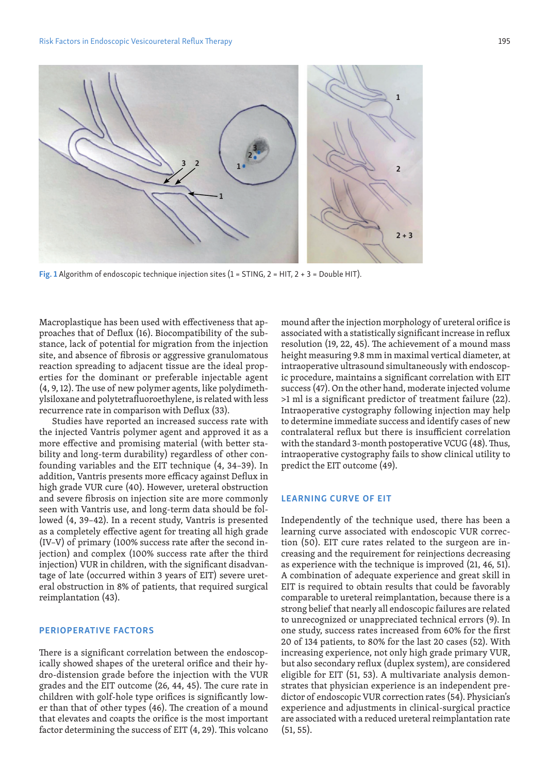

Fig. 1 Algorithm of endoscopic technique injection sites (1 = STING, 2 = HIT, 2 + 3 = Double HIT).

Macroplastique has been used with effectiveness that approaches that of Deflux (16). Biocompatibility of the substance, lack of potential for migration from the injection site, and absence of fibrosis or aggressive granulomatous reaction spreading to adjacent tissue are the ideal properties for the dominant or preferable injectable agent (4, 9, 12). The use of new polymer agents, like polydimethylsiloxane and polytetrafluoroethylene, is related with less recurrence rate in comparison with Deflux (33).

Studies have reported an increased success rate with the injected Vantris polymer agent and approved it as a more effective and promising material (with better stability and long-term durability) regardless of other confounding variables and the EIT technique (4, 34–39). In addition, Vantris presents more efficacy against Deflux in high grade VUR cure (40). However, ureteral obstruction and severe fibrosis on injection site are more commonly seen with Vantris use, and long-term data should be followed (4, 39–42). In a recent study, Vantris is presented as a completely effective agent for treating all high grade (IV–V) of primary (100% success rate after the second injection) and complex (100% success rate after the third injection) VUR in children, with the significant disadvantage of late (occurred within 3 years of EIT) severe ureteral obstruction in 8% of patients, that required surgical reimplantation (43).

## PERIOPERATIVE FACTORS

There is a significant correlation between the endoscopically showed shapes of the ureteral orifice and their hydro-distension grade before the injection with the VUR grades and the EIT outcome (26, 44, 45). The cure rate in children with golf-hole type orifices is significantly lower than that of other types (46). The creation of a mound that elevates and coapts the orifice is the most important factor determining the success of EIT (4, 29). This volcano mound after the injection morphology of ureteral orifice is associated with a statistically significant increase in reflux resolution (19, 22, 45). The achievement of a mound mass height measuring 9.8 mm in maximal vertical diameter, at intraoperative ultrasound simultaneously with endoscopic procedure, maintains a significant correlation with EIT success (47). On the other hand, moderate injected volume >1 ml is a significant predictor of treatment failure (22). Intraoperative cystography following injection may help to determine immediate success and identify cases of new contralateral reflux but there is insufficient correlation with the standard 3-month postoperative VCUG (48). Thus, intraoperative cystography fails to show clinical utility to predict the EIT outcome (49).

## LEARNING CURVE OF EIT

Independently of the technique used, there has been a learning curve associated with endoscopic VUR correction (50). EIT cure rates related to the surgeon are increasing and the requirement for reinjections decreasing as experience with the technique is improved (21, 46, 51). A combination of adequate experience and great skill in EIT is required to obtain results that could be favorably comparable to ureteral reimplantation, because there is a strong belief that nearly all endoscopic failures are related to unrecognized or unappreciated technical errors (9). In one study, success rates increased from 60% for the first 20 of 134 patients, to 80% for the last 20 cases (52). With increasing experience, not only high grade primary VUR, but also secondary reflux (duplex system), are considered eligible for EIT (51, 53). A multivariate analysis demonstrates that physician experience is an independent predictor of endoscopic VUR correction rates (54). Physician's experience and adjustments in clinical-surgical practice are associated with a reduced ureteral reimplantation rate (51, 55).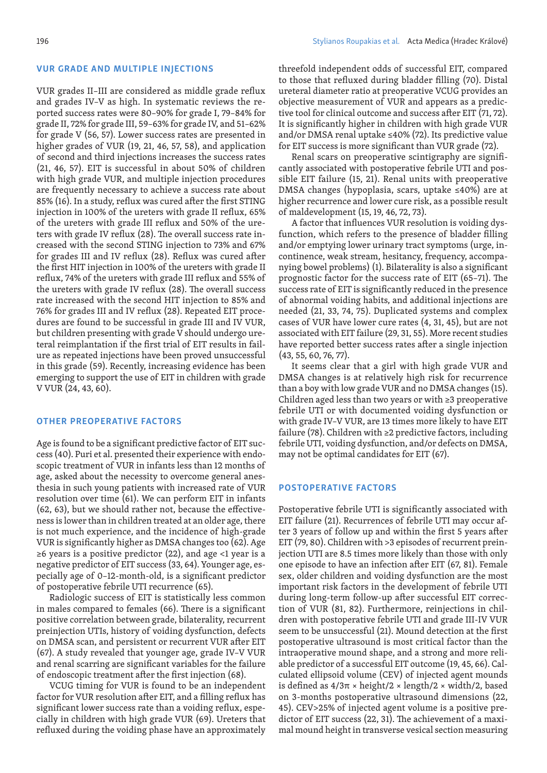VUR grades II–III are considered as middle grade reflux and grades IV–V as high. In systematic reviews the reported success rates were 80–90% for grade I, 79–84% for grade II, 72% for grade III, 59–63% for grade IV, and 51–62% for grade V (56, 57). Lower success rates are presented in higher grades of VUR (19, 21, 46, 57, 58), and application of second and third injections increases the success rates (21, 46, 57). ΕΙΤ is successful in about 50% of children with high grade VUR, and multiple injection procedures are frequently necessary to achieve a success rate about 85% (16). In a study, reflux was cured after the first STING injection in 100% of the ureters with grade II reflux, 65% of the ureters with grade III reflux and 50% of the ureters with grade IV reflux (28). The overall success rate increased with the second STING injection to 73% and 67% for grades III and IV reflux (28). Reflux was cured after the first HIT injection in 100% of the ureters with grade II reflux, 74% of the ureters with grade III reflux and 55% of the ureters with grade IV reflux (28). The overall success rate increased with the second HIT injection to 85% and 76% for grades III and IV reflux (28). Repeated EIT procedures are found to be successful in grade III and IV VUR, but children presenting with grade V should undergo ureteral reimplantation if the first trial of EIT results in failure as repeated injections have been proved unsuccessful in this grade (59). Recently, increasing evidence has been emerging to support the use of EIT in children with grade V VUR (24, 43, 60).

## OTHER PREOPERATIVE FACTORS

Age is found to be a significant predictive factor of EIT success (40). Puri et al. presented their experience with endoscopic treatment of VUR in infants less than 12 months of age, asked about the necessity to overcome general anesthesia in such young patients with increased rate of VUR resolution over time (61). We can perform EIT in infants (62, 63), but we should rather not, because the effectiveness is lower than in children treated at an older age, there is not much experience, and the incidence of high-grade VUR is significantly higher as DMSA changes too (62). Age  $≥6$  years is a positive predictor (22), and age <1 year is a negative predictor of EIT success (33, 64). Younger age, especially age of 0–12-month-old, is a significant predictor of postoperative febrile UTI recurrence (65).

Radiologic success of EIT is statistically less common in males compared to females (66). There is a significant positive correlation between grade, bilaterality, recurrent preinjection UTIs, history of voiding dysfunction, defects on DMSA scan, and persistent or recurrent VUR after EIT (67). A study revealed that younger age, grade IV–V VUR and renal scarring are significant variables for the failure of endoscopic treatment after the first injection (68).

VCUG timing for VUR is found to be an independent factor for VUR resolution after EIT, and a filling reflux has significant lower success rate than a voiding reflux, especially in children with high grade VUR (69). Ureters that refluxed during the voiding phase have an approximately

threefold independent odds of successful EIT, compared to those that refluxed during bladder filling (70). Distal ureteral diameter ratio at preoperative VCUG provides an objective measurement of VUR and appears as a predictive tool for clinical outcome and success after EIT (71, 72). It is significantly higher in children with high grade VUR and/or DMSA renal uptake ≤40% (72). Its predictive value for EIT success is more significant than VUR grade (72).

Renal scars on preoperative scintigraphy are significantly associated with postoperative febrile UTI and possible EIT failure (15, 21). Renal units with preoperative DMSA changes (hypoplasia, scars, uptake ≤40%) are at higher recurrence and lower cure risk, as a possible result of maldevelopment (15, 19, 46, 72, 73).

A factor that influences VUR resolution is voiding dysfunction, which refers to the presence of bladder filling and/or emptying lower urinary tract symptoms (urge, incontinence, weak stream, hesitancy, frequency, accompanying bowel problems) (1). Bilaterality is also a significant prognostic factor for the success rate of EIT (65–71). The success rate of EIT is significantly reduced in the presence of abnormal voiding habits, and additional injections are needed (21, 33, 74, 75). Duplicated systems and complex cases of VUR have lower cure rates (4, 31, 45), but are not associated with EIT failure (29, 31, 55). More recent studies have reported better success rates after a single injection (43, 55, 60, 76, 77).

It seems clear that a girl with high grade VUR and DMSA changes is at relatively high risk for recurrence than a boy with low grade VUR and no DMSA changes (15). Children aged less than two years or with ≥3 preoperative febrile UTI or with documented voiding dysfunction or with grade IV–V VUR, are 13 times more likely to have EIT failure (78). Children with ≥2 predictive factors, including febrile UTI, voiding dysfunction, and/or defects on DMSA, may not be optimal candidates for EIT (67).

## POSTOPERATIVE FACTORS

Postoperative febrile UTI is significantly associated with EIT failure (21). Recurrences of febrile UTI may occur after 3 years of follow up and within the first 5 years after EIT (79, 80). Children with >3 episodes of recurrent preinjection UTI are 8.5 times more likely than those with only one episode to have an infection after EIT (67, 81). Female sex, older children and voiding dysfunction are the most important risk factors in the development of febrile UTI during long-term follow-up after successful EIT correction of VUR (81, 82). Furthermore, reinjections in children with postoperative febrile UTI and grade III-IV VUR seem to be unsuccessful (21). Mound detection at the first postoperative ultrasound is most critical factor than the intraoperative mound shape, and a strong and more reliable predictor of a successful EIT outcome (19, 45, 66). Calculated ellipsoid volume (CEV) of injected agent mounds is defined as  $4/3\pi \times \text{height}/2 \times \text{length}/2 \times \text{width}/2$ , based on 3-months postoperative ultrasound dimensions (22, 45). CEV>25% of injected agent volume is a positive predictor of EIT success (22, 31). The achievement of a maximal mound height in transverse vesical section measuring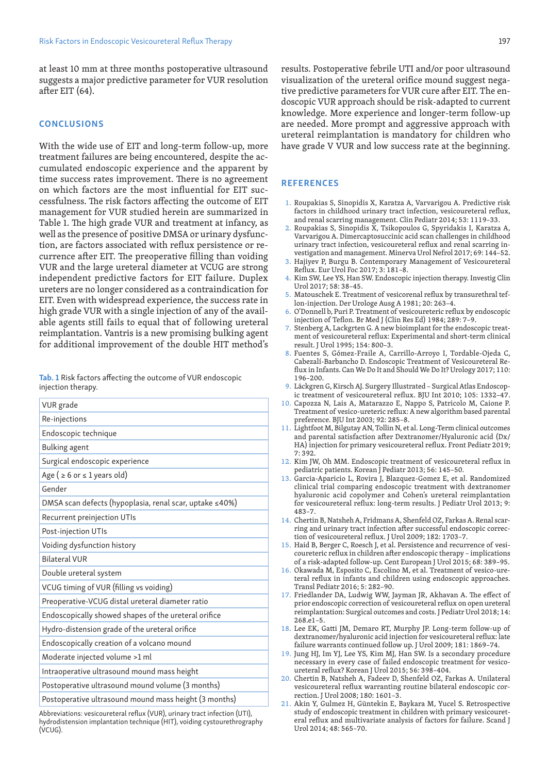at least 10 mm at three months postoperative ultrasound suggests a major predictive parameter for VUR resolution after EIT (64).

## **CONCLUSIONS**

With the wide use of EIT and long-term follow-up, more treatment failures are being encountered, despite the accumulated endoscopic experience and the apparent by time success rates improvement. There is no agreement on which factors are the most influential for EIT successfulness. The risk factors affecting the outcome of EIT management for VUR studied herein are summarized in Table 1. The high grade VUR and treatment at infancy, as well as the presence of positive DMSA or urinary dysfunction, are factors associated with reflux persistence or recurrence after EIT. The preoperative filling than voiding VUR and the large ureteral diameter at VCUG are strong independent predictive factors for EIT failure. Duplex ureters are no longer considered as a contraindication for EIT. Even with widespread experience, the success rate in high grade VUR with a single injection of any of the available agents still fails to equal that of following ureteral reimplantation. Vantris is a new promising bulking agent for additional improvement of the double HIT method's

Tab. 1 Risk factors affecting the outcome of VUR endoscopic injection therapy.

| VUR grade                                               |
|---------------------------------------------------------|
| Re-injections                                           |
| Endoscopic technique                                    |
| <b>Bulking agent</b>                                    |
| Surgical endoscopic experience                          |
| Age ( $\geq 6$ or $\leq 1$ years old)                   |
| Gender                                                  |
| DMSA scan defects (hypoplasia, renal scar, uptake ≤40%) |
| Recurrent preinjection UTIs                             |
| Post-injection UTIs                                     |
| Voiding dysfunction history                             |
| <b>Bilateral VUR</b>                                    |
| Double ureteral system                                  |
| VCUG timing of VUR (filling vs voiding)                 |
| Preoperative-VCUG distal ureteral diameter ratio        |
| Endoscopically showed shapes of the ureteral orifice    |
| Hydro-distension grade of the ureteral orifice          |
| Endoscopically creation of a volcano mound              |
| Moderate injected volume >1 ml                          |
| Intraoperative ultrasound mound mass height             |
| Postoperative ultrasound mound volume (3 months)        |
| Postoperative ultrasound mound mass height (3 months)   |
|                                                         |

Abbreviations: vesicoureteral reflux (VUR), urinary tract infection (UTI), hydrodistension implantation technique (HIT), voiding cystourethrography (VCUG).

results. Postoperative febrile UTI and/or poor ultrasound visualization of the ureteral orifice mound suggest negative predictive parameters for VUR cure after EIT. Τhe endoscopic VUR approach should be risk-adapted to current knowledge. More experience and longer-term follow-up are needed. More prompt and aggressive approach with ureteral reimplantation is mandatory for children who have grade V VUR and low success rate at the beginning.

## **REFERENCES**

- 1. Roupakias S, Sinopidis X, Karatza A, Varvarigou A. Predictive risk factors in childhood urinary tract infection, vesicoureteral reflux, and renal scarring management. Clin Pediatr 2014; 53: 1119–33.
- 2. Roupakias S, Sinopidis X, Tsikopoulos G, Spyridakis I, Karatza A, Varvarigou A. Dimercaptosuccinic acid scan challenges in childhood urinary tract infection, vesicoureteral reflux and renal scarring investigation and management. Minerva Urol Nefrol 2017; 69: 144–52.
- 3. Hajiyev P, Burgu B. Contemporary Management of Vesicoureteral Reflux. Eur Urol Foc 2017; 3: 181–8.
- 4. Kim SW, Lee YS, Han SW. Endoscopic injection therapy. Investig Clin Urol 2017; 58: 38–45.
- 5. Matouschek E. Treatment of vesicorenal reflux by transurethral teflon-injection. Der Urologe Ausg A 1981; 20: 263–4.
- 6. O'Donnell b, Puri P. Treatment of vesicoureteric reflux by endoscopic injection of Teflon. Br Med J (Clin Res Ed) 1984; 289: 7–9.
- 7. Stenberg A, Lackgrten G. A new bioimplant for the endoscopic treatment of vesicoureteral reflux: Experimental and short-term clinical result. J Urol 1995; 154: 800–3.
- 8. Fuentes S, Gómez-Fraile A, Carrillo-Arroyo I, Tordable-Ojeda C, Cabezalí-Barbancho D. Endoscopic Treatment of Vesicoureteral Reflux in Infants. Can We Do It and Should We Do It? Urology 2017; 110: 196–200.
- 9. Läckgren G, Kirsch AJ. Surgery Illustrated Surgical Atlas Endoscopic treatment of vesicoureteral reflux. BJU Int 2010; 105: 1332–47.
- 10. Capozza N, Lais A, Matarazzo E, Nappo S, Patricolo M, Caione P. Treatment of vesico-ureteric reflux: A new algorithm based parental preference. BJU Int 2003; 92: 285–8.
- 11. Lightfoot M, Bilgutay AN, Tollin N, et al. Long-Term clinical outcomes and parental satisfaction after Dextranomer/Hyaluronic acid (Dx/ HA) injection for primary vesicoureteral reflux. Front Pediatr 2019; 7: 392.
- 12. Kim JW, Oh MM. Endoscopic treatment of vesicoureteral reflux in pediatric patients. Korean J Pediatr 2013; 56: 145–50.
- 13. Garcia-Aparicio L, Rovira J, Blazquez-Gomez E, et al. Randomized clinical trial comparing endoscopic treatment with dextranomer hyaluronic acid copolymer and Cohen's ureteral reimplantation for vesicoureteral reflux: long-term results. J Pediatr Urol 2013; 9: 483–7.
- 14. Chertin B, Natsheh A, Fridmans A, Shenfeld OZ, Farkas A. Renal scarring and urinary tract infection after successful endoscopic correction of vesicoureteral reflux. J Urol 2009; 182: 1703-7.
- 15. Haid B, Berger C, Roesch J, et al. Persistence and recurrence of vesicoureteric reflux in children after endoscopic therapy – implications of a risk-adapted follow-up. Cent European J Urol 2015; 68: 389–95.
- 16. Okawada M, Esposito C, Escolino M, et al. Treatment of vesico-ureteral reflux in infants and children using endoscopic approaches. Transl Pediatr 2016; 5: 282–90.
- 17. Friedlander DA, Ludwig WW, Jayman JR, Akhavan A. The effect of prior endoscopic correction of vesicoureteral reflux on open ureteral reimplantation: Surgical outcomes and costs. J Pediatr Urol 2018; 14: 268.e1–5.
- 18. Lee EK, Gatti JM, Demaro RT, Murphy JP. Long-term follow-up of dextranomer/hyaluronic acid injection for vesicoureteral reflux: late failure warrants continued follow up. J Urol 2009; 181: 1869–74.
- 19. Jung HJ, Im YJ, Lee YS, Kim MJ, Han SW. Is a secondary procedure necessary in every case of failed endoscopic treatment for vesicoureteral reflux? Korean J Urol 2015; 56: 398–404.
- 20. Chertin B, Natsheh A, Fadeev D, Shenfeld OZ, Farkas A. Unilateral vesicoureteral reflux warranting routine bilateral endoscopic correction. J Urol 2008; 180: 1601–3.
- 21. Akin Y, Gulmez H, Güntekin E, Baykara M, Yucel S. Retrospective study of endoscopic treatment in children with primary vesicoureteral reflux and multivariate analysis of factors for failure. Scand J Urol 2014; 48: 565–70.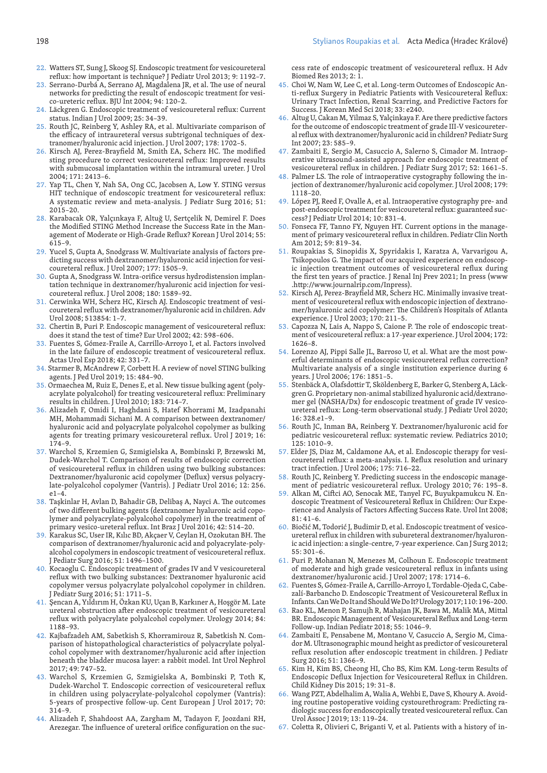- 22. Watters ST, Sung J, Skoog SJ. Endoscopic treatment for vesicoureteral reflux: how important is technique? J Pediatr Urol 2013; 9: 1192–7.
- 23. Serrano-Durbá A, Serrano AJ, Magdalena JR, et al. The use of neural networks for predicting the result of endoscopic treatment for vesico-ureteric reflux. BJU Int 2004; 94: 120–2.
- 24. Läckgren G. Endoscopic treatment of vesicoureteral reflux: Current status. Indian J Urol 2009; 25: 34–39.
- 25. Routh JC, Reinberg Y, Ashley RA, et al. Multivariate comparison of the efficacy of intraureteral versus subtrigonal techniques of dextranomer/hyaluronic acid injection. J Urol 2007; 178: 1702–5.
- 26. Kirsch AJ, Perez-Brayfield M, Smith EA, Scherz HC. The modified sting procedure to correct vesicoureteral reflux: Improved results with submucosal implantation within the intramural ureter. J Urol 2004; 171: 2413–6.
- 27. Yap TL, Chen Y, Nah SA, Ong CC, Jacobsen A, Low Y. STING versus HIT technique of endoscopic treatment for vesicoureteral reflux: A systematic review and meta-analysis. J Pediatr Surg 2016; 51: 2015–20.
- 28. Karabacak OR, Yalçınkaya F, Altuğ U, Sertçelik N, Demirel F. Does the Modified STING Method Increase the Success Rate in the Management of Moderate or High-Grade Reflux? Korean J Urol 2014; 55: 615–9.
- 29. Yucel S, Gupta A, Snodgrass W. Multivariate analysis of factors predicting success with dextranomer/hyaluronic acid injection for vesicoureteral reflux. J Urol 2007; 177: 1505–9.
- 30. Gupta A, Snodgrass W. Intra-orifice versus hydrodistension implantation technique in dextranomer/hyaluronic acid injection for vesicoureteral reflux. J Urol 2008; 180: 1589–92.
- 31. Cerwinka WH, Scherz HC, Kirsch AJ. Endoscopic treatment of vesicoureteral reflux with dextranomer/hyaluronic acid in children. Adv Urol 2008; 513854: 1–7.
- 32. Chertin B, Puri P. Endoscopic management of vesicoureteral reflux: does it stand the test of time? Eur Urol 2002; 42: 598–606.
- 33. Fuentes S, Gómez-Fraile A, Carrillo-Arroyo I, et al. Factors involved in the late failure of endoscopic treatment of vesicoureteral reflux. Actas Urol Esp 2018; 42: 331–7.
- 34. Starmer B, McAndrew F, Corbett H. A review of novel STING bulking agents. J Ped Urol 2019; 15: 484–90.
- 35. Ormaechea M, Ruiz E, Denes E, et al. New tissue bulking agent (polyacrylate polyalcohol) for treating vesicoureteral reflux: Preliminary results in children. J Urol 2010; 183: 714–7.
- 36. Alizadeh F, Omidi I, Haghdani S, Hatef Khorrami M, Izadpanahi MH, Mohammadi Sichani M. A comparison between dextranomer/ hyaluronic acid and polyacrylate polyalcohol copolymer as bulking agents for treating primary vesicoureteral reflux. Urol J 2019; 16: 174–9.
- 37. Warchol S, Krzemien G, Szmigielska A, Bombinski P, Brzewski M, Dudek-Warchol T. Comparison of results of endoscopic correction of vesicoureteral reflux in children using two bulking substances: Dextranomer/hyaluronic acid copolymer (Deflux) versus polyacrylate-polyalcohol copolymer (Vantris). J Pediatr Urol 2016; 12: 256. e1–4.
- 38. Taşkinlar H, Avlan D, Bahadir GB, Delibaş A, Nayci A. The outcomes of two different bulking agents (dextranomer hyaluronic acid copolymer and polyacrylate-polyalcohol copolymer) in the treatment of primary vesico-ureteral reflux. Int Braz J Urol 2016; 42: 514–20.
- 39. Karakus SC, User IR, Kılıc BD, Akçaer V, Ceylan H, Ozokutan BH. The comparison of dextranomer/hyaluronic acid and polyacrylate-polyalcohol copolymers in endoscopic treatment of vesicoureteral reflux. J Pediatr Surg 2016; 51: 1496–1500.
- 40. Kocaoglu C. Endoscopic treatment of grades IV and V vesicoureteral reflux with two bulking substances: Dextranomer hyaluronic acid copolymer versus polyacrylate polyalcohol copolymer in children. J Pediatr Surg 2016; 51: 1711–5.
- 41. Şencan A, Yıldırım H, Özkan KU, Uçan B, Karkıner A, Hoşgör M. Late ureteral obstruction after endoscopic treatment of vesicoureteral reflux with polyacrylate polyalcohol copolymer. Urology 2014; 84: 1188–93.
- 42. Kajbafzadeh AM, Sabetkish S, Khorramirouz R, Sabetkish N. Comparison of histopathological characteristics of polyacrylate polyalcohol copolymer with dextranomer/hyaluronic acid after injection beneath the bladder mucosa layer: a rabbit model. Int Urol Nephrol 2017; 49: 747–52.
- 43. Warchol S, Krzemien G, Szmigielska A, Bombinski P, Τoth Κ, Dudek-Warchol T. Endoscopic correction of vesicoureteral reflux in children using polyacrylate-polyalcohol copolymer (Vantris): 5-years of prospective follow-up. Cent European J Urol 2017; 70: 314–9.
- 44. Alizadeh F, Shahdoost AA, Zargham M, Tadayon F, Joozdani RH, Arezegar. The influence of ureteral orifice configuration on the suc-

cess rate of endoscopic treatment of vesicoureteral reflux. H Adv Biomed Res 2013; 2: 1.

- 45. Choi W, Nam W, Lee C, et al. Long-term Outcomes of Endoscopic Anti-reflux Surgery in Pediatric Patients with Vesicoureteral Reflux: Urinary Tract Infection, Renal Scarring, and Predictive Factors for Success. J Korean Med Sci 2018; 33: e240.
- 46. Altug U, Cakan M, Yilmaz S, Yalçinkaya F. Are there predictive factors for the outcome of endoscopic treatment of grade III-V vesicoureteral reflux with dextranomer/hyaluronic acid in children? Pediatr Surg Int 2007; 23: 585–9.
- 47. Zambaiti E, Sergio M, Casuccio A, Salerno S, Cimador M. Intraoperative ultrasound-assisted approach for endoscopic treatment of vesicoureteral reflux in children. J Pediatr Surg 2017; 52: 1661–5.
- 48. Palmer LS. The role of intraoperative cystography following the injection of dextranomer/hyaluronic acid copolymer. J Urol 2008; 179: 1118–20.
- 49. López PJ, Reed F, Ovalle A, et al. Intraoperative cystography pre- and post-endoscopic treatment for vesicoureteral reflux: guaranteed success? J Pediatr Urol 2014; 10: 831–4.
- 50. Fonseca FF, Tanno FY, Nguyen HT. Current options in the management of primary vesicoureteral reflux in children. Pediatr Clin North Am 2012; 59: 819–34.
- 51. Roupakias S, Sinopidis X, Spyridakis I, Karatza A, Varvarigou A, Tsikopoulos G. The impact of our acquired experience on endoscopic injection treatment outcomes of vesicoureteral reflux during the first ten years of practice. J Renal Inj Prev 2021; In press (www .http://www.journalrip.com/Inpress).
- 52. Kirsch AJ, Perez-Brayfield MR, Scherz HC. Minimally invasive treatment of vesicoureteral reflux with endoscopic injection of dextranomer/hyaluronic acid copolymer: The Children's Hospitals of Atlanta experience. J Urol 2003; 170: 211–5.
- 53. Capozza N, Lais A, Nappo S, Caione P. The role of endoscopic treatment of vesicoureteral reflux: a 17-year experience. J Urol 2004; 172: 1626–8.
- 54. Lorenzo AJ, Pippi Salle JL, Barroso U, et al. What are the most powerful determinants of endoscopic vesicoureteral reflux correction? Multivariate analysis of a single institution experience during 6 years. J Urol 2006; 176: 1851–5.
- 55. Stenbäck A, Olafsdottir T, Sköldenberg E, Barker G, Stenberg A, Läckgren G. Proprietary non-animal stabilized hyaluronic acid/dextranomer gel (NASHA/Dx) for endoscopic treatment of grade IV vesicoureteral reflux: Long-term observational study. J Pediatr Urol 2020; 16: 328.e1–9.
- 56. Routh JC, Inman BA, Reinberg Y. Dextranomer/hyaluronic acid for pediatric vesicoureteral reflux: systematic review. Pediatrics 2010; 125: 1010–9.
- 57. Elder JS, Diaz M, Caldamone AA, et al. Endoscopic therapy for vesicoureteral reflux: a meta-analysis. I. Reflux resolution and urinary tract infection. J Urol 2006; 175: 716–22.
- 58. Routh JC, Reinberg Y. Predicting success in the endoscopic management of pediatric vesicoureteral reflux. Urology 2010; 76: 195–8.
- 59. Alkan M, Ciftci AO, Senocak ME, Tanyel FC, Buyukpamukcu N. Endoscopic Treatment of Vesicoureteral Reflux in Children: Our Experience and Analysis of Factors Affecting Success Rate. Urol Int 2008; 81: 41–6.
- 60. Biočić M, Todorić J, Budimir D, et al. Endoscopic treatment of vesicoureteral reflux in children with subureteral dextranomer/hyaluronic acid injection: a single-centre, 7-year experience. Can J Surg 2012; 55: 301–6.
- 61. Puri P, Mohanan N, Menezes M, Colhoun E. Endoscopic treatment of moderate and high grade vesicoureteral reflux in infants using dextranomer/hyaluronic acid. J Urol 2007; 178: 1714–6.
- 62. Fuentes S, Gómez-Fraile A, Carrillo-Arroyo I, Tordable-Ojeda C, Cabezalí-Barbancho D. Endoscopic Treatment of Vesicoureteral Reflux in Infants. Can We Do It and Should We Do It? Urology 2017; 110: 196–200.
- 63. Rao KL, Menon P, Samujh R, Mahajan JK, Bawa M, Malik MA, Mittal BR. Endoscopic Management of Vesicoureteral Reflux and Long-term Follow-up. Indian Pediatr 2018; 55: 1046–9.
- 64. Zambaiti E, Pensabene M, Montano V, Casuccio A, Sergio M, Cimador M. Ultrasonographic mound height as predictor of vesicoureteral reflux resolution after endoscopic treatment in children. J Pediatr Surg 2016; 51: 1366–9.
- 65. Kim H, Kim BS, Cheong HI, Cho BS, Kim KM. Long-term Results of Endoscopic Deflux Injection for Vesicoureteral Reflux in Children. Child Kidney Dis 2015; 19: 31–8.
- 66. Wang PZT, Abdelhalim A, Walia A, Wehbi E, Dave S, Khoury A. Avoiding routine postoperative voiding cystourethrogram: Predicting radiologic success for endoscopically treated vesicoureteral reflux. Can Urol Assoc J 2019; 13: 119–24.
- 67. Coletta R, Olivieri C, Briganti V, et al. Patients with a history of in-